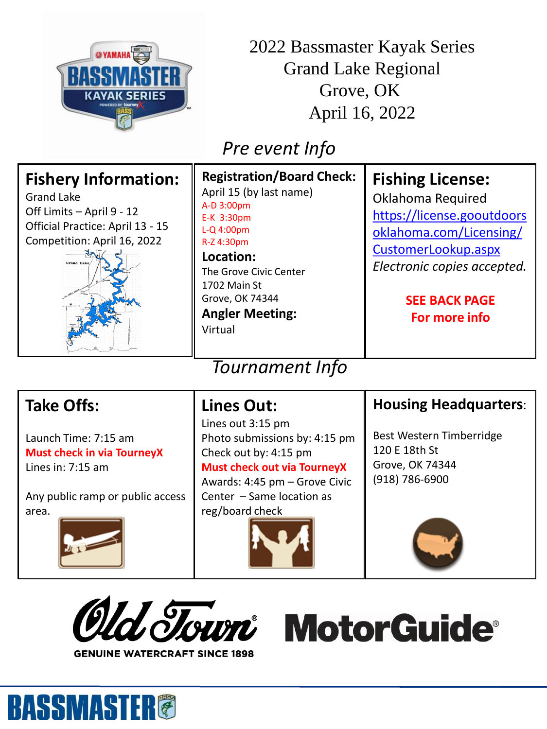

2022 Bassmaster Kayak Series Grand Lake Regional Grove, OK April 16, 2022

## *Pre event Info*

#### *Tournament Info*

### **Take Offs:**

Launch Time: 7:15 am **Must check in via TourneyX** Lines in: 7:15 am

Any public ramp or public access area.



**BASSMASTER®** 

### **Lines Out:**

Lines out 3:15 pm Photo submissions by: 4:15 pm Check out by: 4:15 pm **Must check out via TourneyX** Awards: 4:45 pm – Grove Civic Center – Same location as reg/board check



#### **Housing Headquarters**:

Best Western Timberridge 120 E 18th St Grove, OK 74344 (918) 786-6900